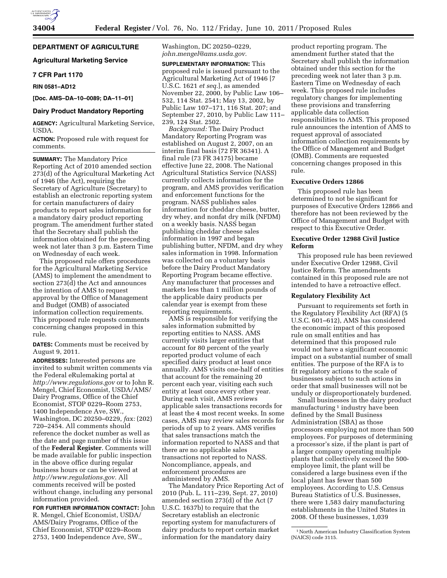**DEPARTMENT OF AGRICULTURE** 

## **Agricultural Marketing Service**

### **7 CFR Part 1170**

**RIN 0581–AD12** 

**[Doc. AMS–DA–10–0089; DA–11–01]** 

## **Dairy Product Mandatory Reporting**

**AGENCY:** Agricultural Marketing Service, USDA.

**ACTION:** Proposed rule with request for comments.

**SUMMARY:** The Mandatory Price Reporting Act of 2010 amended section 273(d) of the Agricultural Marketing Act of 1946 (the Act), requiring the Secretary of Agriculture (Secretary) to establish an electronic reporting system for certain manufacturers of dairy products to report sales information for a mandatory dairy product reporting program. The amendment further stated that the Secretary shall publish the information obtained for the preceding week not later than 3 p.m. Eastern Time on Wednesday of each week.

This proposed rule offers procedures for the Agricultural Marketing Service (AMS) to implement the amendment to section 273(d) the Act and announces the intention of AMS to request approval by the Office of Management and Budget (OMB) of associated information collection requirements. This proposed rule requests comments concerning changes proposed in this rule.

**DATES:** Comments must be received by August 9, 2011.

**ADDRESSES:** Interested persons are invited to submit written comments via the Federal eRulemaking portal at *<http://www.regulations.gov>* or to John R. Mengel, Chief Economist, USDA/AMS/ Dairy Programs, Office of the Chief Economist, STOP 0229–Room 2753, 1400 Independence Ave, SW., Washington, DC 20250–0229, *fax:* (202) 720–2454. All comments should reference the docket number as well as the date and page number of this issue of the **Federal Register**. Comments will be made available for public inspection in the above office during regular business hours or can be viewed at *[http://www.regulations.gov.](http://www.regulations.gov)* All comments received will be posted without change, including any personal information provided.

**FOR FURTHER INFORMATION CONTACT:** John R. Mengel, Chief Economist, USDA/ AMS/Dairy Programs, Office of the Chief Economist, STOP 0229–Room 2753, 1400 Independence Ave, SW.,

Washington, DC 20250–0229, *[john.mengel@ams.usda.gov.](mailto:john.mengel@ams.usda.gov)* 

**SUPPLEMENTARY INFORMATION:** This proposed rule is issued pursuant to the Agricultural Marketing Act of 1946 [7 U.S.C. 1621 *et seq.*], as amended November 22, 2000, by Public Law 106– 532, 114 Stat. 2541; May 13, 2002, by Public Law 107–171, 116 Stat. 207; and September 27, 2010, by Public Law 111– 239, 124 Stat. 2502.

*Background:* The Dairy Product Mandatory Reporting Program was established on August 2, 2007, on an interim final basis (72 FR 36341). A final rule (73 FR 34175) became effective June 22, 2008. The National Agricultural Statistics Service (NASS) currently collects information for the program, and AMS provides verification and enforcement functions for the program. NASS publishes sales information for cheddar cheese, butter, dry whey, and nonfat dry milk (NFDM) on a weekly basis. NASS began publishing cheddar cheese sales information in 1997 and began publishing butter, NFDM, and dry whey sales information in 1998. Information was collected on a voluntary basis before the Dairy Product Mandatory Reporting Program became effective. Any manufacturer that processes and markets less than 1 million pounds of the applicable dairy products per calendar year is exempt from these reporting requirements.

AMS is responsible for verifying the sales information submitted by reporting entities to NASS. AMS currently visits larger entities that account for 80 percent of the yearly reported product volume of each specified dairy product at least once annually. AMS visits one-half of entities that account for the remaining 20 percent each year, visiting each such entity at least once every other year. During each visit, AMS reviews applicable sales transactions records for at least the 4 most recent weeks. In some cases, AMS may review sales records for periods of up to 2 years. AMS verifies that sales transactions match the information reported to NASS and that there are no applicable sales transactions not reported to NASS. Noncompliance, appeals, and enforcement procedures are administered by AMS.

The Mandatory Price Reporting Act of 2010 (Pub. L. 111–239, Sept. 27, 2010) amended section 273(d) of the Act (7 U.S.C. 1637b) to require that the Secretary establish an electronic reporting system for manufacturers of dairy products to report certain market information for the mandatory dairy

product reporting program. The amendment further stated that the Secretary shall publish the information obtained under this section for the preceding week not later than 3 p.m. Eastern Time on Wednesday of each week. This proposed rule includes regulatory changes for implementing these provisions and transferring applicable data collection responsibilities to AMS. This proposed rule announces the intention of AMS to request approval of associated information collection requirements by the Office of Management and Budget (OMB). Comments are requested concerning changes proposed in this rule.

## **Executive Orders 12866**

This proposed rule has been determined to not be significant for purposes of Executive Orders 12866 and therefore has not been reviewed by the Office of Management and Budget with respect to this Executive Order.

## **Executive Order 12988 Civil Justice Reform**

This proposed rule has been reviewed under Executive Order 12988, Civil Justice Reform. The amendments contained in this proposed rule are not intended to have a retroactive effect.

#### **Regulatory Flexibility Act**

Pursuant to requirements set forth in the Regulatory Flexibility Act (RFA) (5 U.S.C. 601–612), AMS has considered the economic impact of this proposed rule on small entities and has determined that this proposed rule would not have a significant economic impact on a substantial number of small entities. The purpose of the RFA is to fit regulatory actions to the scale of businesses subject to such actions in order that small businesses will not be unduly or disproportionately burdened.

Small businesses in the dairy product manufacturing<sup>1</sup> industry have been defined by the Small Business Administration (SBA) as those processors employing not more than 500 employees. For purposes of determining a processor's size, if the plant is part of a larger company operating multiple plants that collectively exceed the 500 employee limit, the plant will be considered a large business even if the local plant has fewer than 500 employees. According to U.S. Census Bureau Statistics of U.S. Businesses, there were 1,583 dairy manufacturing establishments in the United States in 2008. Of these businesses, 1,039

<sup>&</sup>lt;sup>1</sup> North American Industry Classification System (NAICS) code 3115.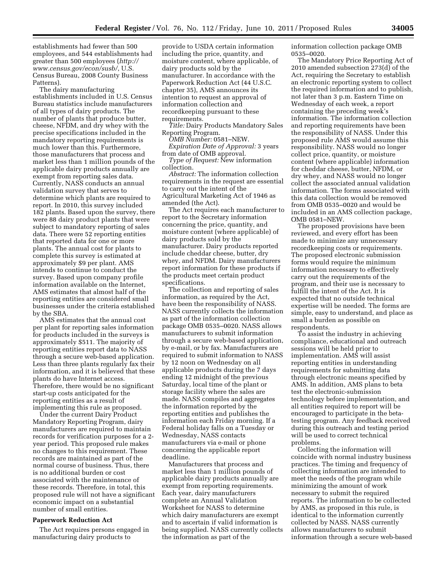establishments had fewer than 500 employees, and 544 establishments had greater than 500 employees (*[http://](http://www.census.gov/econ/susb/)  [www.census.gov/econ/susb/](http://www.census.gov/econ/susb/)*, U.S. Census Bureau, 2008 County Business Patterns).

The dairy manufacturing establishments included in U.S. Census Bureau statistics include manufacturers of all types of dairy products. The number of plants that produce butter, cheese, NFDM, and dry whey with the precise specifications included in the mandatory reporting requirements is much lower than this. Furthermore, those manufacturers that process and market less than 1 million pounds of the applicable dairy products annually are exempt from reporting sales data. Currently, NASS conducts an annual validation survey that serves to determine which plants are required to report. In 2010, this survey included 182 plants. Based upon the survey, there were 88 dairy product plants that were subject to mandatory reporting of sales data. There were 52 reporting entities that reported data for one or more plants. The annual cost for plants to complete this survey is estimated at approximately \$9 per plant. AMS intends to continue to conduct the survey. Based upon company profile information available on the Internet, AMS estimates that almost half of the reporting entities are considered small businesses under the criteria established by the SBA.

AMS estimates that the annual cost per plant for reporting sales information for products included in the surveys is approximately \$511. The majority of reporting entities report data to NASS through a secure web-based application. Less than three plants regularly fax their information, and it is believed that these plants do have Internet access. Therefore, there would be no significant start-up costs anticipated for the reporting entities as a result of implementing this rule as proposed.

Under the current Dairy Product Mandatory Reporting Program, dairy manufacturers are required to maintain records for verification purposes for a 2 year period. This proposed rule makes no changes to this requirement. These records are maintained as part of the normal course of business. Thus, there is no additional burden or cost associated with the maintenance of these records. Therefore, in total, this proposed rule will not have a significant economic impact on a substantial number of small entities.

#### **Paperwork Reduction Act**

The Act requires persons engaged in manufacturing dairy products to

provide to USDA certain information including the price, quantity, and moisture content, where applicable, of dairy products sold by the manufacturer. In accordance with the Paperwork Reduction Act (44 U.S.C. chapter 35), AMS announces its intention to request an approval of information collection and recordkeeping pursuant to these requirements.

*Title:* Dairy Products Mandatory Sales Reporting Program.

*OMB Number:* 0581–NEW.

*Expiration Date of Approval:* 3 years from date of OMB approval.

*Type of Request:* New information collection.

*Abstract:* The information collection requirements in the request are essential to carry out the intent of the Agricultural Marketing Act of 1946 as amended (the Act).

The Act requires each manufacturer to report to the Secretary information concerning the price, quantity, and moisture content (where applicable) of dairy products sold by the manufacturer. Dairy products reported include cheddar cheese, butter, dry whey, and NFDM. Dairy manufacturers report information for these products if the products meet certain product specifications.

The collection and reporting of sales information, as required by the Act, have been the responsibility of NASS. NASS currently collects the information as part of the information collection package OMB 0535–0020. NASS allows manufacturers to submit information through a secure web-based application, by e-mail, or by fax. Manufacturers are required to submit information to NASS by 12 noon on Wednesday on all applicable products during the 7 days ending 12 midnight of the previous Saturday, local time of the plant or storage facility where the sales are made. NASS compiles and aggregates the information reported by the reporting entities and publishes the information each Friday morning. If a Federal holiday falls on a Tuesday or Wednesday, NASS contacts manufacturers via e-mail or phone concerning the applicable report deadline.

Manufacturers that process and market less than 1 million pounds of applicable dairy products annually are exempt from reporting requirements. Each year, dairy manufacturers complete an Annual Validation Worksheet for NASS to determine which dairy manufacturers are exempt and to ascertain if valid information is being supplied. NASS currently collects the information as part of the

information collection package OMB 0535–0020.

The Mandatory Price Reporting Act of 2010 amended subsection 273(d) of the Act, requiring the Secretary to establish an electronic reporting system to collect the required information and to publish, not later than 3 p.m. Eastern Time on Wednesday of each week, a report containing the preceding week's information. The information collection and reporting requirements have been the responsibility of NASS. Under this proposed rule AMS would assume this responsibility. NASS would no longer collect price, quantity, or moisture content (where applicable) information for cheddar cheese, butter, NFDM, or dry whey, and NASS would no longer collect the associated annual validation information. The forms associated with this data collection would be removed from OMB 0535–0020 and would be included in an AMS collection package, OMB 0581–NEW.

The proposed provisions have been reviewed, and every effort has been made to minimize any unnecessary recordkeeping costs or requirements. The proposed electronic submission forms would require the minimum information necessary to effectively carry out the requirements of the program, and their use is necessary to fulfill the intent of the Act. It is expected that no outside technical expertise will be needed. The forms are simple, easy to understand, and place as small a burden as possible on respondents.

To assist the industry in achieving compliance, educational and outreach sessions will be held prior to implementation. AMS will assist reporting entities in understanding requirements for submitting data through electronic means specified by AMS. In addition, AMS plans to beta test the electronic-submission technology before implementation, and all entities required to report will be encouraged to participate in the betatesting program. Any feedback received during this outreach and testing period will be used to correct technical problems.

Collecting the information will coincide with normal industry business practices. The timing and frequency of collecting information are intended to meet the needs of the program while minimizing the amount of work necessary to submit the required reports. The information to be collected by AMS, as proposed in this rule, is identical to the information currently collected by NASS. NASS currently allows manufacturers to submit information through a secure web-based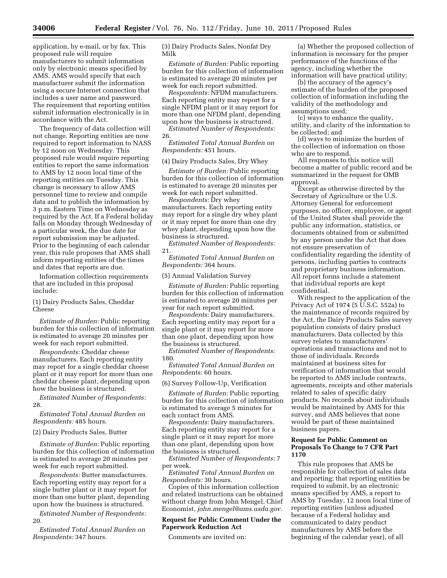application, by e-mail, or by fax. This proposed rule will require manufacturers to submit information only by electronic means specified by AMS. AMS would specify that each manufacturer submit the information using a secure Internet connection that includes a user name and password. The requirement that reporting entities submit information electronically is in accordance with the Act.

The frequency of data collection will not change. Reporting entities are now required to report information to NASS by 12 noon on Wednesday. This proposed rule would require reporting entities to report the same information to AMS by 12 noon local time of the reporting entities on Tuesday. This change is necessary to allow AMS personnel time to review and compile data and to publish the information by 3 p.m. Eastern Time on Wednesday as required by the Act. If a Federal holiday falls on Monday through Wednesday of a particular week, the due date for report submission may be adjusted. Prior to the beginning of each calendar year, this rule proposes that AMS shall inform reporting entities of the times and dates that reports are due.

Information collection requirements that are included in this proposal include:

(1) Dairy Products Sales, Cheddar Cheese

*Estimate of Burden:* Public reporting burden for this collection of information is estimated to average 20 minutes per week for each report submitted.

*Respondents:* Cheddar cheese manufacturers. Each reporting entity may report for a single cheddar cheese plant or it may report for more than one cheddar cheese plant, depending upon how the business is structured.

*Estimated Number of Respondents:*  28.

*Estimated Total Annual Burden on Respondents:* 485 hours.

(2) Dairy Products Sales, Butter

*Estimate of Burden:* Public reporting burden for this collection of information is estimated to average 20 minutes per week for each report submitted.

*Respondents:* Butter manufacturers. Each reporting entity may report for a single butter plant or it may report for more than one butter plant, depending upon how the business is structured.

*Estimated Number of Respondents:*  20.

*Estimated Total Annual Burden on Respondents:* 347 hours.

(3) Dairy Products Sales, Nonfat Dry Milk

*Estimate of Burden:* Public reporting burden for this collection of information is estimated to average 20 minutes per week for each report submitted.

*Respondents:* NFDM manufacturers. Each reporting entity may report for a single NFDM plant or it may report for more than one NFDM plant, depending upon how the business is structured.

*Estimated Number of Respondents:*  26.

*Estimated Total Annual Burden on Respondents:* 451 hours.

# (4) Dairy Products Sales, Dry Whey

*Estimate of Burden:* Public reporting burden for this collection of information is estimated to average 20 minutes per week for each report submitted.

*Respondents:* Dry whey manufacturers. Each reporting entity may report for a single dry whey plant or it may report for more than one dry whey plant, depending upon how the business is structured.

*Estimated Number of Respondents:*  21.

*Estimated Total Annual Burden on Respondents:* 364 hours.

#### (5) Annual Validation Survey

*Estimate of Burden:* Public reporting burden for this collection of information is estimated to average 20 minutes per year for each report submitted.

*Respondents:* Dairy manufacturers. Each reporting entity may report for a single plant or it may report for more than one plant, depending upon how the business is structured.

*Estimated Number of Respondents:*  180.

*Estimated Total Annual Burden on Res*pondents: 60 hours.

#### (6) Survey Follow-Up, Verification

*Estimate of Burden:* Public reporting burden for this collection of information is estimated to average 5 minutes for each contact from AMS.

*Respondents:* Dairy manufacturers. Each reporting entity may report for a single plant or it may report for more than one plant, depending upon how the business is structured.

*Estimated Number of Respondents:* 7 per week.

*Estimated Total Annual Burden on Respondents:* 30 hours.

Copies of this information collection and related instructions can be obtained without charge from John Mengel, Chief Economist, *[john.mengel@ams.usda.gov.](mailto:john.mengel@ams.usda.gov)* 

## **Request for Public Comment Under the Paperwork Reduction Act**

Comments are invited on:

(a) Whether the proposed collection of information is necessary for the proper performance of the functions of the agency, including whether the information will have practical utility;

(b) the accuracy of the agency's estimate of the burden of the proposed collection of information including the validity of the methodology and assumptions used;

(c) ways to enhance the quality, utility, and clarity of the information to be collected; and

(d) ways to minimize the burden of the collection of information on those who are to respond.

All responses to this notice will become a matter of public record and be summarized in the request for OMB approval.

Except as otherwise directed by the Secretary of Agriculture or the U.S. Attorney General for enforcement purposes, no officer, employee, or agent of the United States shall provide the public any information, statistics, or documents obtained from or submitted by any person under the Act that does not ensure preservation of confidentiality regarding the identity of persons, including parties to contracts and proprietary business information. All report forms include a statement that individual reports are kept confidential.

With respect to the application of the Privacy Act of 1974 (5  $\overline{U}$ .S.C. 552a) to the maintenance of records required by the Act, the Dairy Products Sales survey population consists of dairy product manufacturers. Data collected by this survey relates to manufacturers' operations and transactions and not to those of individuals. Records maintained at business sites for verification of information that would be reported to AMS include contracts, agreements, receipts and other materials related to sales of specific dairy products. No records about individuals would be maintained by AMS for this survey, and AMS believes that none would be part of these maintained business papers.

### **Request for Public Comment on Proposals To Change to 7 CFR Part 1170**

This rule proposes that AMS be responsible for collection of sales data and reporting; that reporting entities be required to submit, by an electronic means specified by AMS, a report to AMS by Tuesday, 12 noon local time of reporting entities (unless adjusted because of a Federal holiday and communicated to dairy product manufacturers by AMS before the beginning of the calendar year), of all